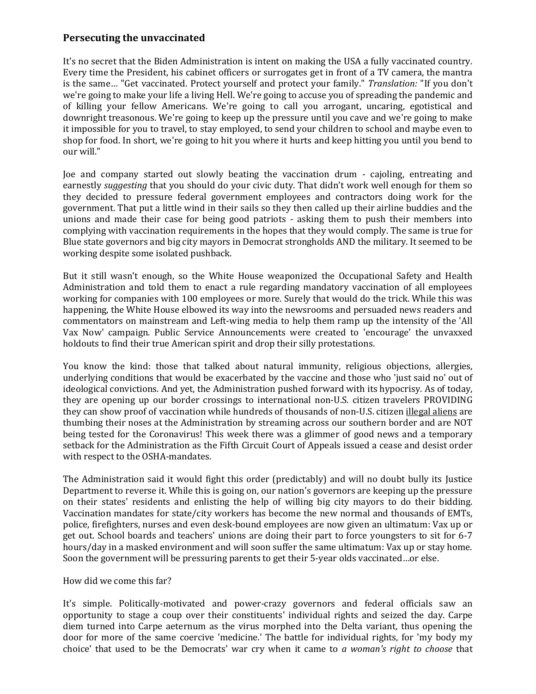## **Persecuting the unvaccinated**

It's no secret that the Biden Administration is intent on making the USA a fully vaccinated country. Every time the President, his cabinet officers or surrogates get in front of a TV camera, the mantra is the same… "Get vaccinated. Protect yourself and protect your family." *Translation:* "If you don't we're going to make your life a living Hell. We're going to accuse you of spreading the pandemic and of killing your fellow Americans. We're going to call you arrogant, uncaring, egotistical and downright treasonous. We're going to keep up the pressure until you cave and we're going to make it impossible for you to travel, to stay employed, to send your children to school and maybe even to shop for food. In short, we're going to hit you where it hurts and keep hitting you until you bend to our will."

Joe and company started out slowly beating the vaccination drum - cajoling, entreating and earnestly *suggesting* that you should do your civic duty. That didn't work well enough for them so they decided to pressure federal government employees and contractors doing work for the government. That put a little wind in their sails so they then called up their airline buddies and the unions and made their case for being good patriots - asking them to push their members into complying with vaccination requirements in the hopes that they would comply. The same is true for Blue state governors and big city mayors in Democrat strongholds AND the military. It seemed to be working despite some isolated pushback.

But it still wasn't enough, so the White House weaponized the Occupational Safety and Health Administration and told them to enact a rule regarding mandatory vaccination of all employees working for companies with 100 employees or more. Surely that would do the trick. While this was happening, the White House elbowed its way into the newsrooms and persuaded news readers and commentators on mainstream and Left-wing media to help them ramp up the intensity of the 'All Vax Now' campaign. Public Service Announcements were created to 'encourage' the unvaxxed holdouts to find their true American spirit and drop their silly protestations.

You know the kind: those that talked about natural immunity, religious objections, allergies, underlying conditions that would be exacerbated by the vaccine and those who 'just said no' out of ideological convictions. And yet, the Administration pushed forward with its hypocrisy. As of today, they are opening up our border crossings to international non-U.S. citizen travelers PROVIDING they can show proof of vaccination while hundreds of thousands of non-U.S. citizen illegal aliens are thumbing their noses at the Administration by streaming across our southern border and are NOT being tested for the Coronavirus! This week there was a glimmer of good news and a temporary setback for the Administration as the Fifth Circuit Court of Appeals issued a cease and desist order with respect to the OSHA-mandates.

The Administration said it would fight this order (predictably) and will no doubt bully its Justice Department to reverse it. While this is going on, our nation's governors are keeping up the pressure on their states' residents and enlisting the help of willing big city mayors to do their bidding. Vaccination mandates for state/city workers has become the new normal and thousands of EMTs, police, firefighters, nurses and even desk-bound employees are now given an ultimatum: Vax up or get out. School boards and teachers' unions are doing their part to force youngsters to sit for 6-7 hours/day in a masked environment and will soon suffer the same ultimatum: Vax up or stay home. Soon the government will be pressuring parents to get their 5-year olds vaccinated…or else.

## How did we come this far?

It's simple. Politically-motivated and power-crazy governors and federal officials saw an opportunity to stage a coup over their constituents' individual rights and seized the day. Carpe diem turned into Carpe aeternum as the virus morphed into the Delta variant, thus opening the door for more of the same coercive 'medicine.' The battle for individual rights, for 'my body my choice' that used to be the Democrats' war cry when it came to *a woman's right to choose* that